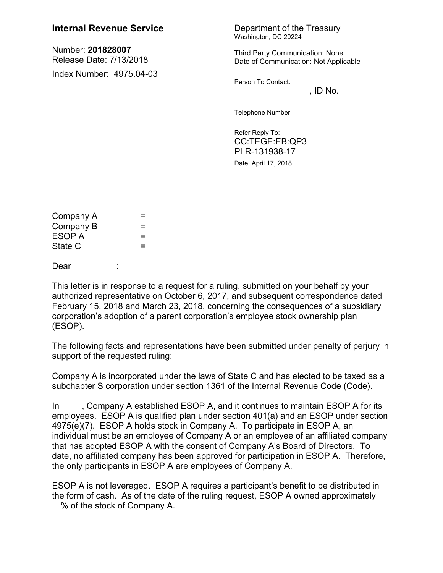## **Internal Revenue Service** Department of the Treasury

Number: **201828007** Release Date: 7/13/2018 Index Number: 4975.04-03 Washington, DC 20224

Third Party Communication: None Date of Communication: Not Applicable

Person To Contact:

 $,$  ID No.

Telephone Number:

Refer Reply To: CC:TEGE:EB:QP3 PLR-131938-17 Date: April 17, 2018

| =   |
|-----|
| $=$ |
| $=$ |
| $=$ |
|     |

Dear :

This letter is in response to a request for a ruling, submitted on your behalf by your authorized representative on October 6, 2017, and subsequent correspondence dated February 15, 2018 and March 23, 2018, concerning the consequences of a subsidiary corporation's adoption of a parent corporation's employee stock ownership plan (ESOP).

The following facts and representations have been submitted under penalty of perjury in support of the requested ruling:

Company A is incorporated under the laws of State C and has elected to be taxed as a subchapter S corporation under section 1361 of the Internal Revenue Code (Code).

In -------, Company A established ESOP A, and it continues to maintain ESOP A for its employees. ESOP A is qualified plan under section 401(a) and an ESOP under section 4975(e)(7). ESOP A holds stock in Company A. To participate in ESOP A, an individual must be an employee of Company A or an employee of an affiliated company that has adopted ESOP A with the consent of Company A's Board of Directors. To date, no affiliated company has been approved for participation in ESOP A. Therefore, the only participants in ESOP A are employees of Company A.

ESOP A is not leveraged. ESOP A requires a participant's benefit to be distributed in the form of cash. As of the date of the ruling request, ESOP A owned approximately % of the stock of Company A.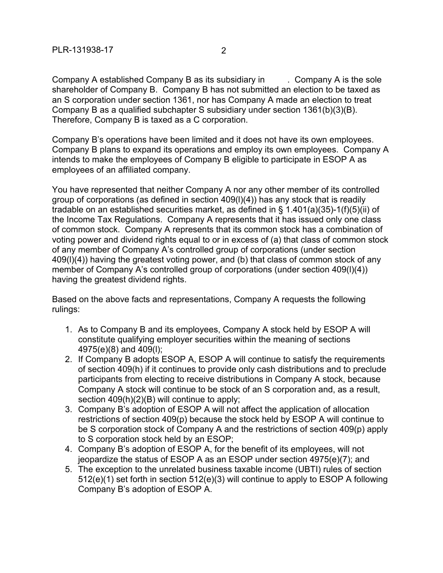Company A established Company B as its subsidiary in  $\Box$  Company A is the sole shareholder of Company B. Company B has not submitted an election to be taxed as an S corporation under section 1361, nor has Company A made an election to treat Company B as a qualified subchapter S subsidiary under section 1361(b)(3)(B). Therefore, Company B is taxed as a C corporation.

Company B's operations have been limited and it does not have its own employees. Company B plans to expand its operations and employ its own employees. Company A intends to make the employees of Company B eligible to participate in ESOP A as employees of an affiliated company.

You have represented that neither Company A nor any other member of its controlled group of corporations (as defined in section 409(l)(4)) has any stock that is readily tradable on an established securities market, as defined in § 1.401(a)(35)-1(f)(5)(ii) of the Income Tax Regulations. Company A represents that it has issued only one class of common stock. Company A represents that its common stock has a combination of voting power and dividend rights equal to or in excess of (a) that class of common stock of any member of Company A's controlled group of corporations (under section 409(l)(4)) having the greatest voting power, and (b) that class of common stock of any member of Company A's controlled group of corporations (under section 409(l)(4)) having the greatest dividend rights.

Based on the above facts and representations, Company A requests the following rulings:

- 1. As to Company B and its employees, Company A stock held by ESOP A will constitute qualifying employer securities within the meaning of sections 4975(e)(8) and 409(l);
- 2. If Company B adopts ESOP A, ESOP A will continue to satisfy the requirements of section 409(h) if it continues to provide only cash distributions and to preclude participants from electing to receive distributions in Company A stock, because Company A stock will continue to be stock of an S corporation and, as a result, section 409(h)(2)(B) will continue to apply;
- 3. Company B's adoption of ESOP A will not affect the application of allocation restrictions of section 409(p) because the stock held by ESOP A will continue to be S corporation stock of Company A and the restrictions of section 409(p) apply to S corporation stock held by an ESOP;
- 4. Company B's adoption of ESOP A, for the benefit of its employees, will not jeopardize the status of ESOP A as an ESOP under section 4975(e)(7); and
- 5. The exception to the unrelated business taxable income (UBTI) rules of section 512(e)(1) set forth in section 512(e)(3) will continue to apply to ESOP A following Company B's adoption of ESOP A.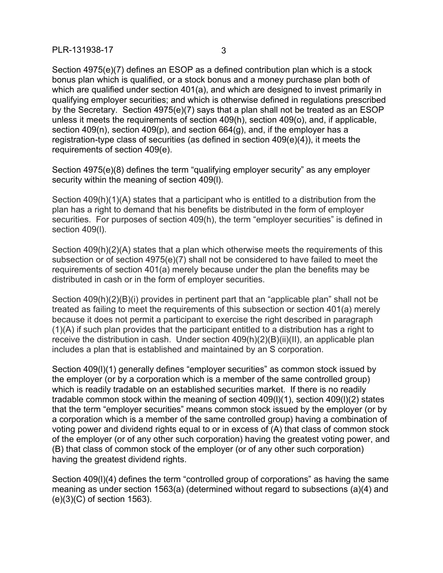## PLR-131938-17 3

Section 4975(e)(7) defines an ESOP as a defined contribution plan which is a stock bonus plan which is qualified, or a stock bonus and a money purchase plan both of which are qualified under section 401(a), and which are designed to invest primarily in qualifying employer securities; and which is otherwise defined in regulations prescribed by the Secretary. Section 4975(e)(7) says that a plan shall not be treated as an ESOP unless it meets the requirements of section 409(h), section 409(o), and, if applicable, section 409(n), section 409(p), and section 664(g), and, if the employer has a registration-type class of securities (as defined in section 409(e)(4)), it meets the requirements of section 409(e).

Section 4975(e)(8) defines the term "qualifying employer security" as any employer security within the meaning of section 409(l).

Section 409(h)(1)(A) states that a participant who is entitled to a distribution from the plan has a right to demand that his benefits be distributed in the form of employer securities. For purposes of section 409(h), the term "employer securities" is defined in section 409(l).

Section 409(h)(2)(A) states that a plan which otherwise meets the requirements of this subsection or of section 4975(e)(7) shall not be considered to have failed to meet the requirements of section 401(a) merely because under the plan the benefits may be distributed in cash or in the form of employer securities.

Section 409(h)(2)(B)(i) provides in pertinent part that an "applicable plan" shall not be treated as failing to meet the requirements of this subsection or section 401(a) merely because it does not permit a participant to exercise the right described in paragraph (1)(A) if such plan provides that the participant entitled to a distribution has a right to receive the distribution in cash. Under section 409(h)(2)(B)(ii)(II), an applicable plan includes a plan that is established and maintained by an S corporation.

Section 409(l)(1) generally defines "employer securities" as common stock issued by the employer (or by a corporation which is a member of the same controlled group) which is readily tradable on an established securities market. If there is no readily tradable common stock within the meaning of section 409(l)(1), section 409(l)(2) states that the term "employer securities" means common stock issued by the employer (or by a corporation which is a member of the same controlled group) having a combination of voting power and dividend rights equal to or in excess of (A) that class of common stock of the employer (or of any other such corporation) having the greatest voting power, and (B) that class of common stock of the employer (or of any other such corporation) having the greatest dividend rights.

Section 409(l)(4) defines the term "controlled group of corporations" as having the same meaning as under section 1563(a) (determined without regard to subsections (a)(4) and (e)(3)(C) of section 1563).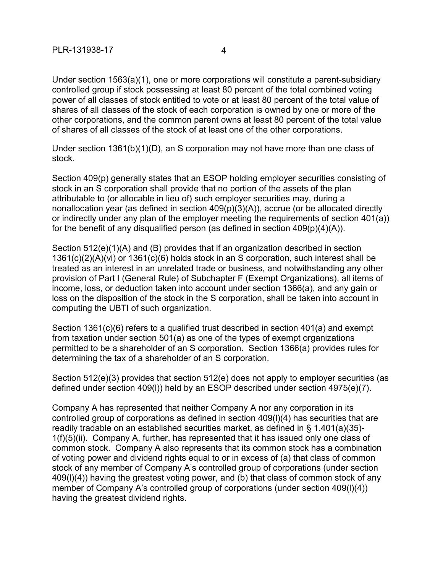Under section 1563(a)(1), one or more corporations will constitute a parent-subsidiary controlled group if stock possessing at least 80 percent of the total combined voting power of all classes of stock entitled to vote or at least 80 percent of the total value of shares of all classes of the stock of each corporation is owned by one or more of the other corporations, and the common parent owns at least 80 percent of the total value of shares of all classes of the stock of at least one of the other corporations.

Under section 1361(b)(1)(D), an S corporation may not have more than one class of stock.

Section 409(p) generally states that an ESOP holding employer securities consisting of stock in an S corporation shall provide that no portion of the assets of the plan attributable to (or allocable in lieu of) such employer securities may, during a nonallocation year (as defined in section 409(p)(3)(A)), accrue (or be allocated directly or indirectly under any plan of the employer meeting the requirements of section 401(a)) for the benefit of any disqualified person (as defined in section 409(p)(4)(A)).

Section 512(e)(1)(A) and (B) provides that if an organization described in section 1361(c)(2)(A)(vi) or 1361(c)(6) holds stock in an S corporation, such interest shall be treated as an interest in an unrelated trade or business, and notwithstanding any other provision of Part I (General Rule) of Subchapter F (Exempt Organizations), all items of income, loss, or deduction taken into account under section 1366(a), and any gain or loss on the disposition of the stock in the S corporation, shall be taken into account in computing the UBTI of such organization.

Section 1361(c)(6) refers to a qualified trust described in section 401(a) and exempt from taxation under section 501(a) as one of the types of exempt organizations permitted to be a shareholder of an S corporation. Section 1366(a) provides rules for determining the tax of a shareholder of an S corporation.

Section 512(e)(3) provides that section 512(e) does not apply to employer securities (as defined under section 409(l)) held by an ESOP described under section 4975(e)(7).

Company A has represented that neither Company A nor any corporation in its controlled group of corporations as defined in section 409(l)(4) has securities that are readily tradable on an established securities market, as defined in § 1.401(a)(35)- 1(f)(5)(ii). Company A, further, has represented that it has issued only one class of common stock. Company A also represents that its common stock has a combination of voting power and dividend rights equal to or in excess of (a) that class of common stock of any member of Company A's controlled group of corporations (under section 409(l)(4)) having the greatest voting power, and (b) that class of common stock of any member of Company A's controlled group of corporations (under section 409(l)(4)) having the greatest dividend rights.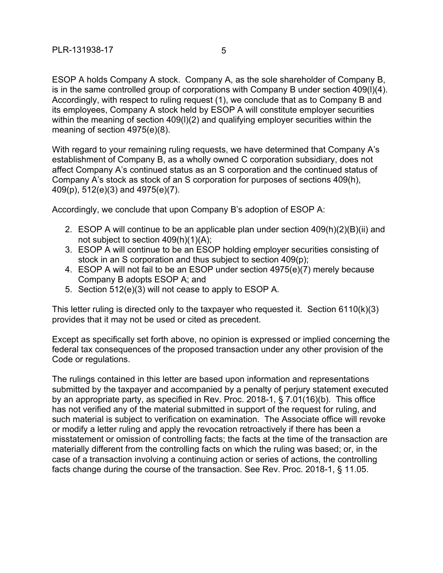ESOP A holds Company A stock. Company A, as the sole shareholder of Company B, is in the same controlled group of corporations with Company B under section 409(l)(4). Accordingly, with respect to ruling request (1), we conclude that as to Company B and its employees, Company A stock held by ESOP A will constitute employer securities within the meaning of section 409(I)(2) and qualifying employer securities within the meaning of section 4975(e)(8).

With regard to your remaining ruling reguests, we have determined that Company A's establishment of Company B, as a wholly owned C corporation subsidiary, does not affect Company A's continued status as an S corporation and the continued status of Company A's stock as stock of an S corporation for purposes of sections 409(h), 409(p), 512(e)(3) and 4975(e)(7).

Accordingly, we conclude that upon Company B's adoption of ESOP A:

- 2. ESOP A will continue to be an applicable plan under section 409(h)(2)(B)(ii) and not subject to section 409(h)(1)(A);
- 3. ESOP A will continue to be an ESOP holding employer securities consisting of stock in an S corporation and thus subject to section 409(p);
- 4. ESOP A will not fail to be an ESOP under section 4975(e)(7) merely because Company B adopts ESOP A; and
- 5. Section 512(e)(3) will not cease to apply to ESOP A.

This letter ruling is directed only to the taxpayer who requested it. Section 6110(k)(3) provides that it may not be used or cited as precedent.

Except as specifically set forth above, no opinion is expressed or implied concerning the federal tax consequences of the proposed transaction under any other provision of the Code or regulations.

The rulings contained in this letter are based upon information and representations submitted by the taxpayer and accompanied by a penalty of perjury statement executed by an appropriate party, as specified in Rev. Proc. 2018-1, § 7.01(16)(b). This office has not verified any of the material submitted in support of the request for ruling, and such material is subject to verification on examination. The Associate office will revoke or modify a letter ruling and apply the revocation retroactively if there has been a misstatement or omission of controlling facts; the facts at the time of the transaction are materially different from the controlling facts on which the ruling was based; or, in the case of a transaction involving a continuing action or series of actions, the controlling facts change during the course of the transaction. See Rev. Proc. 2018-1, § 11.05.